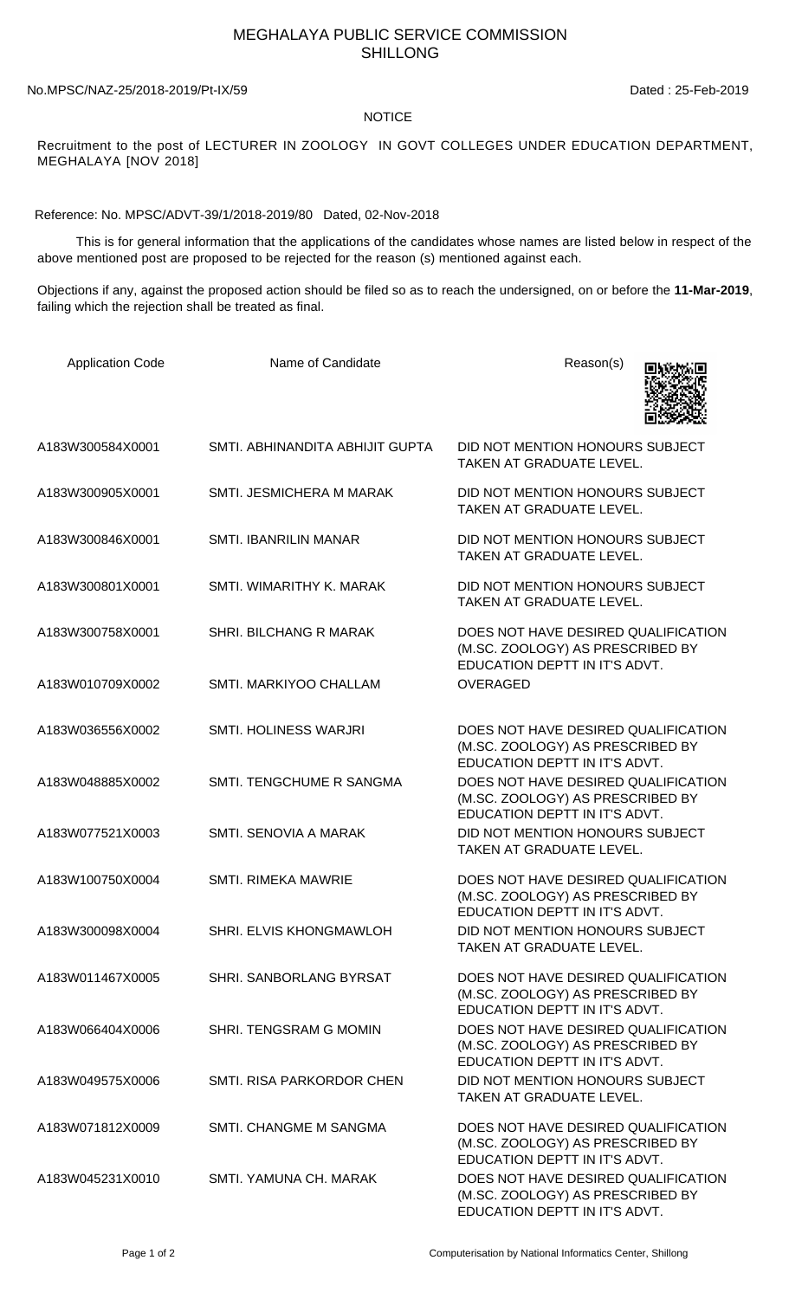## MEGHALAYA PUBLIC SERVICE COMMISSION SHILLONG

No.MPSC/NAZ-25/2018-2019/Pt-IX/59 Dated : 25-Feb-2019

## NOTICE

Recruitment to the post of LECTURER IN ZOOLOGY IN GOVT COLLEGES UNDER EDUCATION DEPARTMENT, MEGHALAYA [NOV 2018]

Reference: No. MPSC/ADVT-39/1/2018-2019/80 Dated, 02-Nov-2018

 This is for general information that the applications of the candidates whose names are listed below in respect of the above mentioned post are proposed to be rejected for the reason (s) mentioned against each.

Objections if any, against the proposed action should be filed so as to reach the undersigned, on or before the **11-Mar-2019**, failing which the rejection shall be treated as final.

| <b>Application Code</b> | Name of Candidate               | Reason(s)                                                                                                |
|-------------------------|---------------------------------|----------------------------------------------------------------------------------------------------------|
| A183W300584X0001        | SMTI. ABHINANDITA ABHIJIT GUPTA | DID NOT MENTION HONOURS SUBJECT<br>TAKEN AT GRADUATE LEVEL.                                              |
| A183W300905X0001        | SMTI. JESMICHERA M MARAK        | DID NOT MENTION HONOURS SUBJECT<br><b>TAKEN AT GRADUATE LEVEL.</b>                                       |
| A183W300846X0001        | <b>SMTI. IBANRILIN MANAR</b>    | DID NOT MENTION HONOURS SUBJECT<br>TAKEN AT GRADUATE LEVEL.                                              |
| A183W300801X0001        | SMTI. WIMARITHY K. MARAK        | DID NOT MENTION HONOURS SUBJECT<br>TAKEN AT GRADUATE LEVEL.                                              |
| A183W300758X0001        | SHRI. BILCHANG R MARAK          | DOES NOT HAVE DESIRED QUALIFICATION<br>(M.SC. ZOOLOGY) AS PRESCRIBED BY<br>EDUCATION DEPTT IN IT'S ADVT. |
| A183W010709X0002        | SMTI. MARKIYOO CHALLAM          | <b>OVERAGED</b>                                                                                          |
| A183W036556X0002        | SMTI. HOLINESS WARJRI           | DOES NOT HAVE DESIRED QUALIFICATION<br>(M.SC. ZOOLOGY) AS PRESCRIBED BY<br>EDUCATION DEPTT IN IT'S ADVT. |
| A183W048885X0002        | SMTI. TENGCHUME R SANGMA        | DOES NOT HAVE DESIRED QUALIFICATION<br>(M.SC. ZOOLOGY) AS PRESCRIBED BY<br>EDUCATION DEPTT IN IT'S ADVT. |
| A183W077521X0003        | SMTI. SENOVIA A MARAK           | DID NOT MENTION HONOURS SUBJECT<br>TAKEN AT GRADUATE LEVEL.                                              |
| A183W100750X0004        | <b>SMTI. RIMEKA MAWRIE</b>      | DOES NOT HAVE DESIRED QUALIFICATION<br>(M.SC. ZOOLOGY) AS PRESCRIBED BY<br>EDUCATION DEPTT IN IT'S ADVT. |
| A183W300098X0004        | SHRI. ELVIS KHONGMAWLOH         | DID NOT MENTION HONOURS SUBJECT<br>TAKEN AT GRADUATE LEVEL.                                              |
| A183W011467X0005        | SHRI. SANBORLANG BYRSAT         | DOES NOT HAVE DESIRED QUALIFICATION<br>(M.SC. ZOOLOGY) AS PRESCRIBED BY<br>EDUCATION DEPTT IN IT'S ADVT. |
| A183W066404X0006        | SHRI. TENGSRAM G MOMIN          | DOES NOT HAVE DESIRED QUALIFICATION<br>(M.SC. ZOOLOGY) AS PRESCRIBED BY<br>EDUCATION DEPTT IN IT'S ADVT. |
| A183W049575X0006        | SMTI, RISA PARKORDOR CHEN       | DID NOT MENTION HONOURS SUBJECT<br>TAKEN AT GRADUATE LEVEL.                                              |
| A183W071812X0009        | SMTI. CHANGME M SANGMA          | DOES NOT HAVE DESIRED QUALIFICATION<br>(M.SC. ZOOLOGY) AS PRESCRIBED BY<br>EDUCATION DEPTT IN IT'S ADVT. |
| A183W045231X0010        | SMTI. YAMUNA CH. MARAK          | DOES NOT HAVE DESIRED QUALIFICATION<br>(M.SC. ZOOLOGY) AS PRESCRIBED BY<br>EDUCATION DEPTT IN IT'S ADVT. |